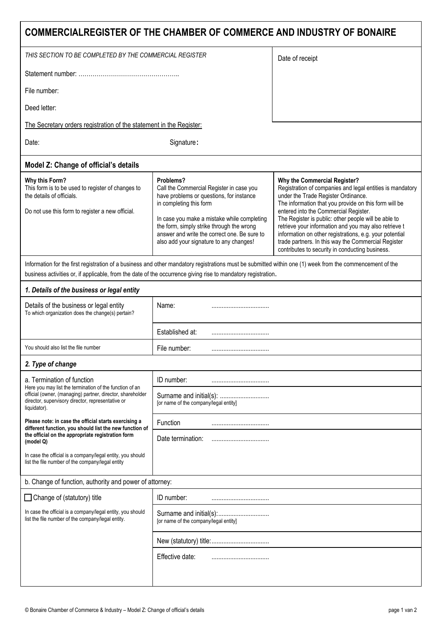| COMMERCIALREGISTER OF THE CHAMBER OF COMMERCE AND INDUSTRY OF BONAIRE                                                                                                                                                                                                      |                                                                                                                                                                                                                                                                                                                     |                                                                                                                                                                                                                                                                                                                                                                                                                                                                                                                          |  |  |  |  |
|----------------------------------------------------------------------------------------------------------------------------------------------------------------------------------------------------------------------------------------------------------------------------|---------------------------------------------------------------------------------------------------------------------------------------------------------------------------------------------------------------------------------------------------------------------------------------------------------------------|--------------------------------------------------------------------------------------------------------------------------------------------------------------------------------------------------------------------------------------------------------------------------------------------------------------------------------------------------------------------------------------------------------------------------------------------------------------------------------------------------------------------------|--|--|--|--|
| THIS SECTION TO BE COMPLETED BY THE COMMERCIAL REGISTER                                                                                                                                                                                                                    |                                                                                                                                                                                                                                                                                                                     | Date of receipt                                                                                                                                                                                                                                                                                                                                                                                                                                                                                                          |  |  |  |  |
|                                                                                                                                                                                                                                                                            |                                                                                                                                                                                                                                                                                                                     |                                                                                                                                                                                                                                                                                                                                                                                                                                                                                                                          |  |  |  |  |
| File number:                                                                                                                                                                                                                                                               |                                                                                                                                                                                                                                                                                                                     |                                                                                                                                                                                                                                                                                                                                                                                                                                                                                                                          |  |  |  |  |
| Deed letter:                                                                                                                                                                                                                                                               |                                                                                                                                                                                                                                                                                                                     |                                                                                                                                                                                                                                                                                                                                                                                                                                                                                                                          |  |  |  |  |
| The Secretary orders registration of the statement in the Register:                                                                                                                                                                                                        |                                                                                                                                                                                                                                                                                                                     |                                                                                                                                                                                                                                                                                                                                                                                                                                                                                                                          |  |  |  |  |
| Date:                                                                                                                                                                                                                                                                      |                                                                                                                                                                                                                                                                                                                     |                                                                                                                                                                                                                                                                                                                                                                                                                                                                                                                          |  |  |  |  |
| Model Z: Change of official's details                                                                                                                                                                                                                                      |                                                                                                                                                                                                                                                                                                                     |                                                                                                                                                                                                                                                                                                                                                                                                                                                                                                                          |  |  |  |  |
| Why this Form?<br>This form is to be used to register of changes to<br>the details of officials.<br>Do not use this form to register a new official.                                                                                                                       | Problems?<br>Call the Commercial Register in case you<br>have problems or questions, for instance<br>in completing this form<br>In case you make a mistake while completing<br>the form, simply strike through the wrong<br>answer and write the correct one. Be sure to<br>also add your signature to any changes! | Why the Commercial Register?<br>Registration of companies and legal entities is mandatory<br>under the Trade Register Ordinance.<br>The information that you provide on this form will be<br>entered into the Commercial Register.<br>The Register is public: other people will be able to<br>retrieve your information and you may also retrieve t<br>information on other registrations, e.g. your potential<br>trade partners. In this way the Commercial Register<br>contributes to security in conducting business. |  |  |  |  |
| Information for the first registration of a business and other mandatory registrations must be submitted within one (1) week from the commencement of the<br>business activities or, if applicable, from the date of the occurrence giving rise to mandatory registration. |                                                                                                                                                                                                                                                                                                                     |                                                                                                                                                                                                                                                                                                                                                                                                                                                                                                                          |  |  |  |  |
| 1. Details of the business or legal entity                                                                                                                                                                                                                                 |                                                                                                                                                                                                                                                                                                                     |                                                                                                                                                                                                                                                                                                                                                                                                                                                                                                                          |  |  |  |  |
| Details of the business or legal entity<br>To which organization does the change(s) pertain?                                                                                                                                                                               | Name:                                                                                                                                                                                                                                                                                                               |                                                                                                                                                                                                                                                                                                                                                                                                                                                                                                                          |  |  |  |  |
|                                                                                                                                                                                                                                                                            | Established at:                                                                                                                                                                                                                                                                                                     |                                                                                                                                                                                                                                                                                                                                                                                                                                                                                                                          |  |  |  |  |
| You should also list the file number                                                                                                                                                                                                                                       | File number:                                                                                                                                                                                                                                                                                                        |                                                                                                                                                                                                                                                                                                                                                                                                                                                                                                                          |  |  |  |  |
| 2. Type of change                                                                                                                                                                                                                                                          |                                                                                                                                                                                                                                                                                                                     |                                                                                                                                                                                                                                                                                                                                                                                                                                                                                                                          |  |  |  |  |
| a. Termination of function<br>Here you may list the termination of the function of an<br>official (owner, (managing) partner, director, shareholder<br>director, supervisory director, representative or<br>liquidator).                                                   | ID number:                                                                                                                                                                                                                                                                                                          |                                                                                                                                                                                                                                                                                                                                                                                                                                                                                                                          |  |  |  |  |
|                                                                                                                                                                                                                                                                            | Surname and initial(s):<br>[or name of the company/legal entity]                                                                                                                                                                                                                                                    |                                                                                                                                                                                                                                                                                                                                                                                                                                                                                                                          |  |  |  |  |
| Please note: in case the official starts exercising a<br>different function, you should list the new function of<br>the official on the appropriate registration form<br>(model Q)                                                                                         | Function                                                                                                                                                                                                                                                                                                            |                                                                                                                                                                                                                                                                                                                                                                                                                                                                                                                          |  |  |  |  |
|                                                                                                                                                                                                                                                                            | Date termination:                                                                                                                                                                                                                                                                                                   |                                                                                                                                                                                                                                                                                                                                                                                                                                                                                                                          |  |  |  |  |
| In case the official is a company/legal entity, you should<br>list the file number of the company/legal entity                                                                                                                                                             |                                                                                                                                                                                                                                                                                                                     |                                                                                                                                                                                                                                                                                                                                                                                                                                                                                                                          |  |  |  |  |
| b. Change of function, authority and power of attorney:                                                                                                                                                                                                                    |                                                                                                                                                                                                                                                                                                                     |                                                                                                                                                                                                                                                                                                                                                                                                                                                                                                                          |  |  |  |  |
| $\Box$ Change of (statutory) title                                                                                                                                                                                                                                         | ID number:                                                                                                                                                                                                                                                                                                          |                                                                                                                                                                                                                                                                                                                                                                                                                                                                                                                          |  |  |  |  |
| In case the official is a company/legal entity, you should<br>list the file number of the company/legal entity.                                                                                                                                                            | [or name of the company/legal entity]                                                                                                                                                                                                                                                                               |                                                                                                                                                                                                                                                                                                                                                                                                                                                                                                                          |  |  |  |  |
|                                                                                                                                                                                                                                                                            |                                                                                                                                                                                                                                                                                                                     |                                                                                                                                                                                                                                                                                                                                                                                                                                                                                                                          |  |  |  |  |
|                                                                                                                                                                                                                                                                            | Effective date:                                                                                                                                                                                                                                                                                                     |                                                                                                                                                                                                                                                                                                                                                                                                                                                                                                                          |  |  |  |  |